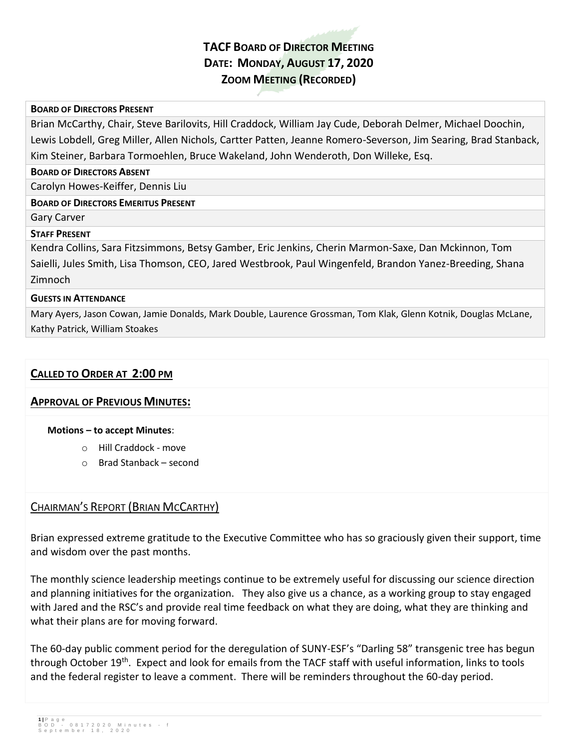# **TACF BOARD OF DIRECTOR MEETING DATE: MONDAY, AUGUST 17, 2020 ZOOM MEETING (RECORDED)**

### **BOARD OF DIRECTORS PRESENT**

Brian McCarthy, Chair, Steve Barilovits, Hill Craddock, William Jay Cude, Deborah Delmer, Michael Doochin, Lewis Lobdell, Greg Miller, Allen Nichols, Cartter Patten, Jeanne Romero-Severson, Jim Searing, Brad Stanback, Kim Steiner, Barbara Tormoehlen, Bruce Wakeland, John Wenderoth, Don Willeke, Esq.

### **BOARD OF DIRECTORS ABSENT**

Carolyn Howes-Keiffer, Dennis Liu

### **BOARD OF DIRECTORS EMERITUS PRESENT**

### Gary Carver

### **STAFF PRESENT**

Kendra Collins, Sara Fitzsimmons, Betsy Gamber, Eric Jenkins, Cherin Marmon-Saxe, Dan Mckinnon, Tom Saielli, Jules Smith, Lisa Thomson, CEO, Jared Westbrook, Paul Wingenfeld, Brandon Yanez-Breeding, Shana Zimnoch

### **GUESTS IN ATTENDANCE**

Mary Ayers, Jason Cowan, Jamie Donalds, Mark Double, Laurence Grossman, Tom Klak, Glenn Kotnik, Douglas McLane, Kathy Patrick, William Stoakes

## **CALLED TO ORDER AT 2:00 PM**

### **APPROVAL OF PREVIOUS MINUTES:**

### **Motions – to accept Minutes**:

- o Hill Craddock move
- o Brad Stanback second

## CHAIRMAN'S REPORT (BRIAN MCCARTHY)

Brian expressed extreme gratitude to the Executive Committee who has so graciously given their support, time and wisdom over the past months.

The monthly science leadership meetings continue to be extremely useful for discussing our science direction and planning initiatives for the organization. They also give us a chance, as a working group to stay engaged with Jared and the RSC's and provide real time feedback on what they are doing, what they are thinking and what their plans are for moving forward.

The 60-day public comment period for the deregulation of SUNY-ESF's "Darling 58" transgenic tree has begun through October 19<sup>th</sup>. Expect and look for emails from the TACF staff with useful information, links to tools and the federal register to leave a comment. There will be reminders throughout the 60-day period.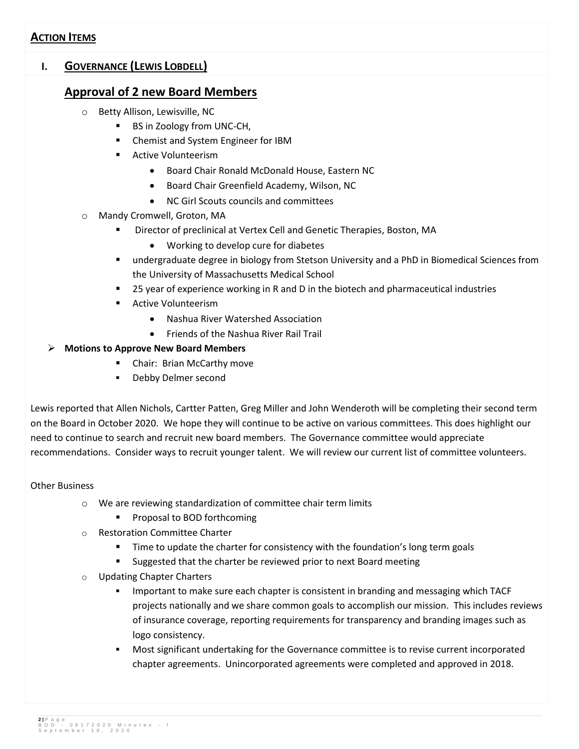## **ACTION ITEMS**

## **I. GOVERNANCE (LEWIS LOBDELL)**

## **Approval of 2 new Board Members**

- o Betty Allison, Lewisville, NC
	- **BS in Zoology from UNC-CH,**
	- Chemist and System Engineer for IBM
	- **Active Volunteerism** 
		- Board Chair Ronald McDonald House, Eastern NC
		- Board Chair Greenfield Academy, Wilson, NC
		- NC Girl Scouts councils and committees
- o Mandy Cromwell, Groton, MA
	- Director of preclinical at Vertex Cell and Genetic Therapies, Boston, MA
		- Working to develop cure for diabetes
	- undergraduate degree in biology from Stetson University and a PhD in Biomedical Sciences from the University of Massachusetts Medical School
	- 25 year of experience working in R and D in the biotech and pharmaceutical industries
	- **Active Volunteerism** 
		- Nashua River Watershed Association
		- Friends of the Nashua River Rail Trail

### **Motions to Approve New Board Members**

- **EXEC** Chair: Brian McCarthy move
- **-** Debby Delmer second

Lewis reported that Allen Nichols, Cartter Patten, Greg Miller and John Wenderoth will be completing their second term on the Board in October 2020. We hope they will continue to be active on various committees. This does highlight our need to continue to search and recruit new board members. The Governance committee would appreciate recommendations. Consider ways to recruit younger talent. We will review our current list of committee volunteers.

### Other Business

- o We are reviewing standardization of committee chair term limits
	- **Proposal to BOD forthcoming**
- o Restoration Committee Charter
	- **Time to update the charter for consistency with the foundation's long term goals**
	- Suggested that the charter be reviewed prior to next Board meeting
- **Updating Chapter Charters** 
	- **IMPORTANT IMPORTANT IMMOGET IS CONSTIGED IN A HOMOGET IMMOGET ASSESS** which TACF projects nationally and we share common goals to accomplish our mission. This includes reviews of insurance coverage, reporting requirements for transparency and branding images such as logo consistency.
	- Most significant undertaking for the Governance committee is to revise current incorporated chapter agreements. Unincorporated agreements were completed and approved in 2018.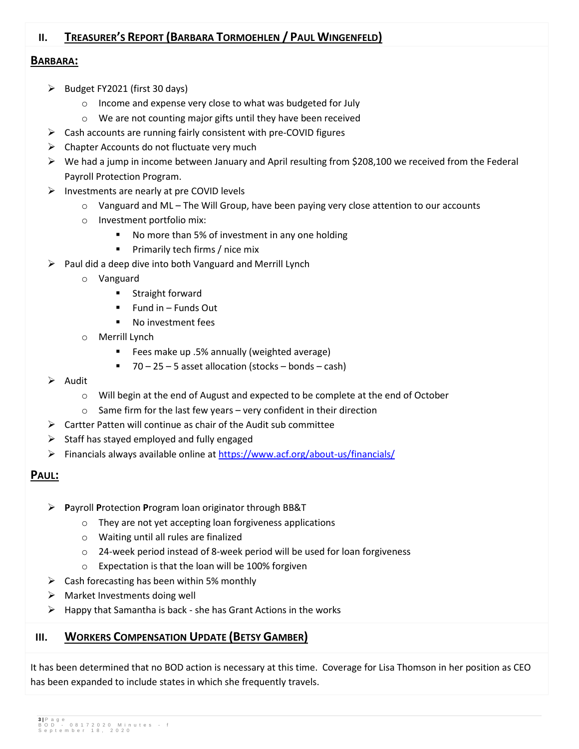## **II. TREASURER'S REPORT (BARBARA TORMOEHLEN / PAUL WINGENFELD)**

## **BARBARA:**

- $\triangleright$  Budget FY2021 (first 30 days)
	- o Income and expense very close to what was budgeted for July
	- o We are not counting major gifts until they have been received
- $\triangleright$  Cash accounts are running fairly consistent with pre-COVID figures
- $\triangleright$  Chapter Accounts do not fluctuate very much
- $\triangleright$  We had a jump in income between January and April resulting from \$208,100 we received from the Federal Payroll Protection Program.
- $\triangleright$  Investments are nearly at pre COVID levels
	- $\circ$  Vanguard and ML The Will Group, have been paying very close attention to our accounts
	- o Investment portfolio mix:
		- No more than 5% of investment in any one holding
		- **Primarily tech firms / nice mix**
- $\triangleright$  Paul did a deep dive into both Vanguard and Merrill Lynch
	- o Vanguard
		- **Straight forward**
		- $\blacksquare$  Fund in Funds Out
		- No investment fees
	- o Merrill Lynch
		- Fees make up .5% annually (weighted average)
		- $\blacksquare$  70 25 5 asset allocation (stocks bonds cash)
- $\triangleright$  Audit
	- o Will begin at the end of August and expected to be complete at the end of October
	- o Same firm for the last few years very confident in their direction
- $\triangleright$  Cartter Patten will continue as chair of the Audit sub committee
- $\triangleright$  Staff has stayed employed and fully engaged
- Financials always available online at<https://www.acf.org/about-us/financials/>

## **PAUL:**

- **P**ayroll **P**rotection **P**rogram loan originator through BB&T
	- o They are not yet accepting loan forgiveness applications
	- o Waiting until all rules are finalized
	- o 24-week period instead of 8-week period will be used for loan forgiveness
	- o Expectation is that the loan will be 100% forgiven
- $\triangleright$  Cash forecasting has been within 5% monthly
- $\triangleright$  Market Investments doing well
- $\triangleright$  Happy that Samantha is back she has Grant Actions in the works

## **III. WORKERS COMPENSATION UPDATE (BETSY GAMBER)**

It has been determined that no BOD action is necessary at this time. Coverage for Lisa Thomson in her position as CEO has been expanded to include states in which she frequently travels.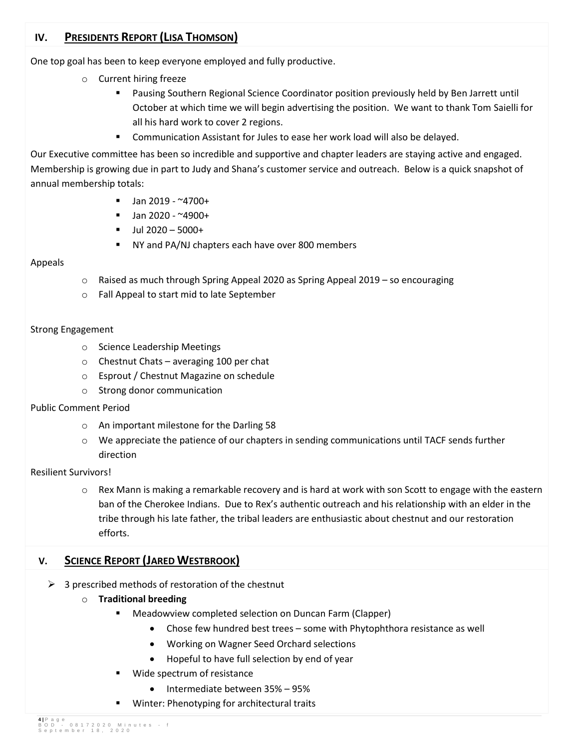## **IV. PRESIDENTS REPORT (LISA THOMSON)**

One top goal has been to keep everyone employed and fully productive.

- o Current hiring freeze
	- Pausing Southern Regional Science Coordinator position previously held by Ben Jarrett until October at which time we will begin advertising the position. We want to thank Tom Saielli for all his hard work to cover 2 regions.
	- Communication Assistant for Jules to ease her work load will also be delayed.

Our Executive committee has been so incredible and supportive and chapter leaders are staying active and engaged. Membership is growing due in part to Judy and Shana's customer service and outreach. Below is a quick snapshot of annual membership totals:

- $\blacksquare$  Jan 2019 ~4700+
- $\blacksquare$  Jan 2020 ~4900+
- $-$  Jul 2020 5000+
- NY and PA/NJ chapters each have over 800 members

### Appeals

- $\circ$  Raised as much through Spring Appeal 2020 as Spring Appeal 2019 so encouraging
- o Fall Appeal to start mid to late September

### Strong Engagement

- o Science Leadership Meetings
- o Chestnut Chats averaging 100 per chat
- o Esprout / Chestnut Magazine on schedule
- o Strong donor communication

### Public Comment Period

- o An important milestone for the Darling 58
- o We appreciate the patience of our chapters in sending communications until TACF sends further direction

### Resilient Survivors!

o Rex Mann is making a remarkable recovery and is hard at work with son Scott to engage with the eastern ban of the Cherokee Indians. Due to Rex's authentic outreach and his relationship with an elder in the tribe through his late father, the tribal leaders are enthusiastic about chestnut and our restoration efforts.

## **V. SCIENCE REPORT (JARED WESTBROOK)**

- $\triangleright$  3 prescribed methods of restoration of the chestnut
	- o **Traditional breeding**
		- **Meadowview completed selection on Duncan Farm (Clapper)** 
			- Chose few hundred best trees some with Phytophthora resistance as well
			- Working on Wagner Seed Orchard selections
			- Hopeful to have full selection by end of year
		- Wide spectrum of resistance
			- Intermediate between 35% 95%
		- Winter: Phenotyping for architectural traits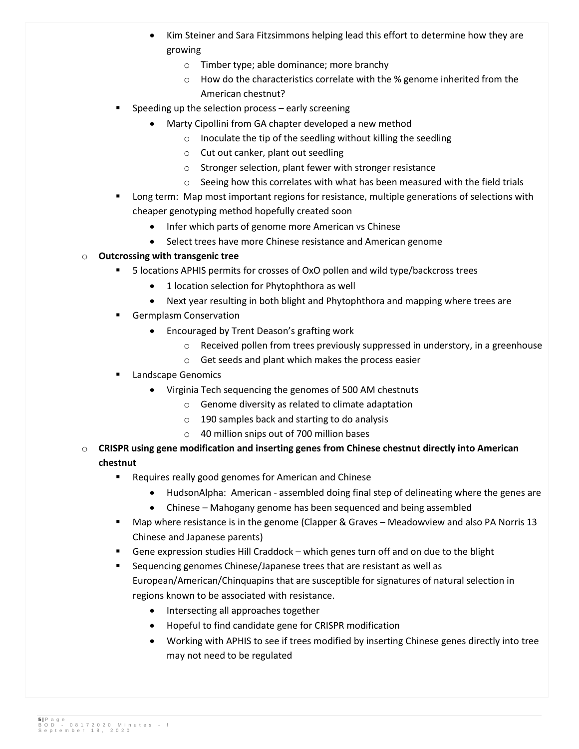- Kim Steiner and Sara Fitzsimmons helping lead this effort to determine how they are growing
	- o Timber type; able dominance; more branchy
	- o How do the characteristics correlate with the % genome inherited from the American chestnut?
- Speeding up the selection process early screening
	- Marty Cipollini from GA chapter developed a new method
		- o Inoculate the tip of the seedling without killing the seedling
		- o Cut out canker, plant out seedling
		- o Stronger selection, plant fewer with stronger resistance
		- o Seeing how this correlates with what has been measured with the field trials
- **Long term: Map most important regions for resistance, multiple generations of selections with** cheaper genotyping method hopefully created soon
	- Infer which parts of genome more American vs Chinese
	- Select trees have more Chinese resistance and American genome

## o **Outcrossing with transgenic tree**

- 5 locations APHIS permits for crosses of OxO pollen and wild type/backcross trees
	- 1 location selection for Phytophthora as well
	- Next year resulting in both blight and Phytophthora and mapping where trees are
- **Germplasm Conservation** 
	- Encouraged by Trent Deason's grafting work
		- $\circ$  Received pollen from trees previously suppressed in understory, in a greenhouse
		- o Get seeds and plant which makes the process easier
- Landscape Genomics
	- Virginia Tech sequencing the genomes of 500 AM chestnuts
		- o Genome diversity as related to climate adaptation
		- o 190 samples back and starting to do analysis
		- o 40 million snips out of 700 million bases
- o **CRISPR using gene modification and inserting genes from Chinese chestnut directly into American chestnut**
	- **Requires really good genomes for American and Chinese** 
		- HudsonAlpha: American assembled doing final step of delineating where the genes are
		- Chinese Mahogany genome has been sequenced and being assembled
	- Map where resistance is in the genome (Clapper & Graves Meadowview and also PA Norris 13 Chinese and Japanese parents)
	- Gene expression studies Hill Craddock which genes turn off and on due to the blight
	- Sequencing genomes Chinese/Japanese trees that are resistant as well as European/American/Chinquapins that are susceptible for signatures of natural selection in regions known to be associated with resistance.
		- Intersecting all approaches together
		- Hopeful to find candidate gene for CRISPR modification
		- Working with APHIS to see if trees modified by inserting Chinese genes directly into tree may not need to be regulated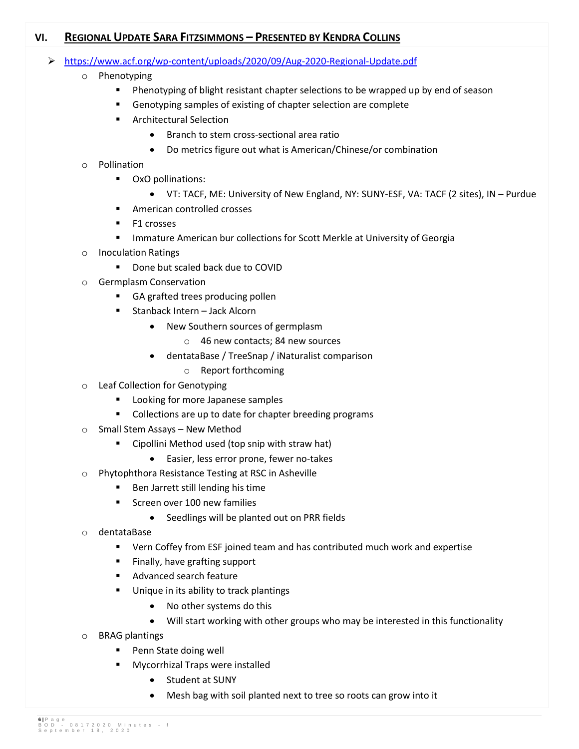## **VI. REGIONAL UPDATE SARA FITZSIMMONS – PRESENTED BY KENDRA COLLINS**

- <https://www.acf.org/wp-content/uploads/2020/09/Aug-2020-Regional-Update.pdf>
	- o Phenotyping
		- **Phenotyping of blight resistant chapter selections to be wrapped up by end of season**
		- Genotyping samples of existing of chapter selection are complete
		- **EXECUTE:** Architectural Selection
			- Branch to stem cross-sectional area ratio
			- Do metrics figure out what is American/Chinese/or combination

### o Pollination

- **•** OxO pollinations:
	- VT: TACF, ME: University of New England, NY: SUNY-ESF, VA: TACF (2 sites), IN Purdue
- **American controlled crosses**
- **F1** crosses
- **IMMATURE AMERICAN BUT COLLECTIONS FOR SCOTT METAL UNIVERSITY OF GEORGIA**
- o Inoculation Ratings
	- **Done but scaled back due to COVID**
- o Germplasm Conservation
	- **GA grafted trees producing pollen**
	- Stanback Intern Jack Alcorn
		- New Southern sources of germplasm
			- o 46 new contacts; 84 new sources
		- dentataBase / TreeSnap / iNaturalist comparison
			- o Report forthcoming
- o Leaf Collection for Genotyping
	- **Looking for more Japanese samples**
	- **Collections are up to date for chapter breeding programs**
- o Small Stem Assays New Method
	- **E** Cipollini Method used (top snip with straw hat)
		- Easier, less error prone, fewer no-takes
- o Phytophthora Resistance Testing at RSC in Asheville
	- **Ben Jarrett still lending his time**
	- Screen over 100 new families
		- Seedlings will be planted out on PRR fields
- o dentataBase
	- Vern Coffey from ESF joined team and has contributed much work and expertise
	- **Finally, have grafting support**
	- Advanced search feature
	- **Unique in its ability to track plantings** 
		- No other systems do this
		- Will start working with other groups who may be interested in this functionality
- o BRAG plantings
	- **Penn State doing well**
	- **Mycorrhizal Traps were installed** 
		- Student at SUNY
		- Mesh bag with soil planted next to tree so roots can grow into it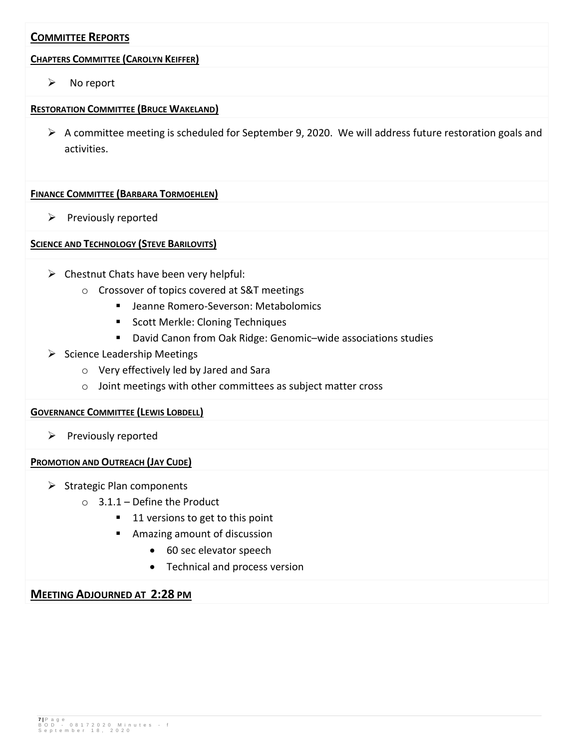## **COMMITTEE REPORTS**

### **CHAPTERS COMMITTEE (CAROLYN KEIFFER)**

 $\triangleright$  No report

### **RESTORATION COMMITTEE (BRUCE WAKELAND)**

 $\triangleright$  A committee meeting is scheduled for September 9, 2020. We will address future restoration goals and activities.

### **FINANCE COMMITTEE (BARBARA TORMOEHLEN)**

 $\triangleright$  Previously reported

### **SCIENCE AND TECHNOLOGY (STEVE BARILOVITS)**

- $\triangleright$  Chestnut Chats have been very helpful:
	- o Crossover of topics covered at S&T meetings
		- **E** Jeanne Romero-Severson: Metabolomics
		- **Scott Merkle: Cloning Techniques**
		- David Canon from Oak Ridge: Genomic-wide associations studies
- $\triangleright$  Science Leadership Meetings
	- o Very effectively led by Jared and Sara
	- o Joint meetings with other committees as subject matter cross

### **GOVERNANCE COMMITTEE (LEWIS LOBDELL)**

 $\triangleright$  Previously reported

### **PROMOTION AND OUTREACH (JAY CUDE)**

- $\triangleright$  Strategic Plan components
	- $\circ$  3.1.1 Define the Product
		- 11 versions to get to this point
		- Amazing amount of discussion
			- 60 sec elevator speech
			- Technical and process version

### **MEETING ADJOURNED AT 2:28 PM**